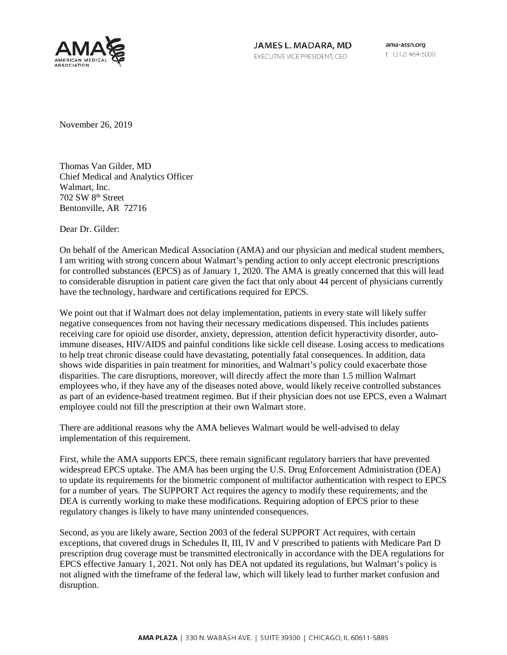

JAMES L. MADARA, MD EXECUTIVE VICE PRESIDENT, CEO

ama-assn.org t (312) 464-5000

November 26, 2019

Thomas Van Gilder, MD Chief Medical and Analytics Officer Walmart, Inc. 702 SW 8th Street Bentonville, AR 72716

Dear Dr. Gilder:

On behalf of the American Medical Association (AMA) and our physician and medical student members, I am writing with strong concern about Walmart's pending action to only accept electronic prescriptions for controlled substances (EPCS) as of January 1, 2020. The AMA is greatly concerned that this will lead to considerable disruption in patient care given the fact that only about 44 percent of physicians currently have the technology, hardware and certifications required for EPCS.

We point out that if Walmart does not delay implementation, patients in every state will likely suffer negative consequences from not having their necessary medications dispensed. This includes patients receiving care for opioid use disorder, anxiety, depression, attention deficit hyperactivity disorder, autoimmune diseases, HIV/AIDS and painful conditions like sickle cell disease. Losing access to medications to help treat chronic disease could have devastating, potentially fatal consequences. In addition, data shows wide disparities in pain treatment for minorities, and Walmart's policy could exacerbate those disparities. The care disruptions, moreover, will directly affect the more than 1.5 million Walmart employees who, if they have any of the diseases noted above, would likely receive controlled substances as part of an evidence-based treatment regimen. But if their physician does not use EPCS, even a Walmart employee could not fill the prescription at their own Walmart store.

There are additional reasons why the AMA believes Walmart would be well-advised to delay implementation of this requirement.

First, while the AMA supports EPCS, there remain significant regulatory barriers that have prevented widespread EPCS uptake. The AMA has been urging the U.S. Drug Enforcement Administration (DEA) to update its requirements for the biometric component of multifactor authentication with respect to EPCS for a number of years. The SUPPORT Act requires the agency to modify these requirements, and the DEA is currently working to make these modifications. Requiring adoption of EPCS prior to these regulatory changes is likely to have many unintended consequences.

Second, as you are likely aware, Section 2003 of the federal SUPPORT Act requires, with certain exceptions, that covered drugs in Schedules II, III, IV and V prescribed to patients with Medicare Part D prescription drug coverage must be transmitted electronically in accordance with the DEA regulations for EPCS effective January 1, 2021. Not only has DEA not updated its regulations, but Walmart's policy is not aligned with the timeframe of the federal law, which will likely lead to further market confusion and disruption.